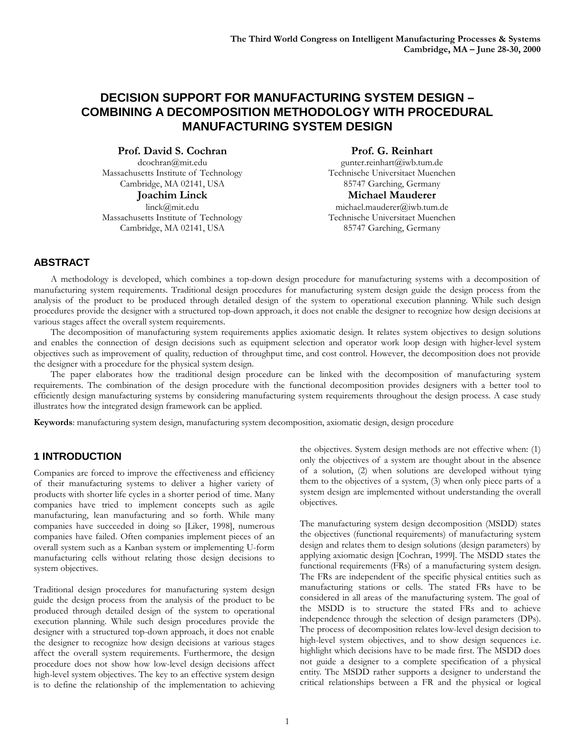# **DECISION SUPPORT FOR MANUFACTURING SYSTEM DESIGN – COMBINING A DECOMPOSITION METHODOLOGY WITH PROCEDURAL MANUFACTURING SYSTEM DESIGN**

**Prof. David S. Cochran**

dcochran@mit.edu Massachusetts Institute of Technology Cambridge, MA 02141, USA

**Joachim Linck** linck@mit.edu Massachusetts Institute of Technology Cambridge, MA 02141, USA

**Prof. G. Reinhart**

gunter.reinhart@iwb.tum.de Technische Universitaet Muenchen 85747 Garching, Germany **Michael Mauderer** michael.mauderer@iwb.tum.de Technische Universitaet Muenchen 85747 Garching, Germany

# **ABSTRACT**

A methodology is developed, which combines a top-down design procedure for manufacturing systems with a decomposition of manufacturing system requirements. Traditional design procedures for manufacturing system design guide the design process from the analysis of the product to be produced through detailed design of the system to operational execution planning. While such design procedures provide the designer with a structured top-down approach, it does not enable the designer to recognize how design decisions at various stages affect the overall system requirements.

The decomposition of manufacturing system requirements applies axiomatic design. It relates system objectives to design solutions and enables the connection of design decisions such as equipment selection and operator work loop design with higher-level system objectives such as improvement of quality, reduction of throughput time, and cost control. However, the decomposition does not provide the designer with a procedure for the physical system design.

The paper elaborates how the traditional design procedure can be linked with the decomposition of manufacturing system requirements. The combination of the design procedure with the functional decomposition provides designers with a better tool to efficiently design manufacturing systems by considering manufacturing system requirements throughout the design process. A case study illustrates how the integrated design framework can be applied.

**Keywords**: manufacturing system design, manufacturing system decomposition, axiomatic design, design procedure

#### **1 INTRODUCTION**

Companies are forced to improve the effectiveness and efficiency of their manufacturing systems to deliver a higher variety of products with shorter life cycles in a shorter period of time. Many companies have tried to implement concepts such as agile manufacturing, lean manufacturing and so forth. While many companies have succeeded in doing so [Liker, 1998], numerous companies have failed. Often companies implement pieces of an overall system such as a Kanban system or implementing U-form manufacturing cells without relating those design decisions to system objectives.

Traditional design procedures for manufacturing system design guide the design process from the analysis of the product to be produced through detailed design of the system to operational execution planning. While such design procedures provide the designer with a structured top-down approach, it does not enable the designer to recognize how design decisions at various stages affect the overall system requirements. Furthermore, the design procedure does not show how low-level design decisions affect high-level system objectives. The key to an effective system design is to define the relationship of the implementation to achieving

the objectives. System design methods are not effective when: (1) only the objectives of a system are thought about in the absence of a solution, (2) when solutions are developed without tying them to the objectives of a system,  $(3)$  when only piece parts of a system design are implemented without understanding the overall objectives.

The manufacturing system design decomposition (MSDD) states the objectives (functional requirements) of manufacturing system design and relates them to design solutions (design parameters) by applying axiomatic design [Cochran, 1999]. The MSDD states the functional requirements (FRs) of a manufacturing system design. The FRs are independent of the specific physical entities such as manufacturing stations or cells. The stated FRs have to be considered in all areas of the manufacturing system. The goal of the MSDD is to structure the stated FRs and to achieve independence through the selection of design parameters (DPs). The process of decomposition relates low-level design decision to high-level system objectives, and to show design sequences i.e. highlight which decisions have to be made first. The MSDD does not guide a designer to a complete specification of a physical entity. The MSDD rather supports a designer to understand the critical relationships between a FR and the physical or logical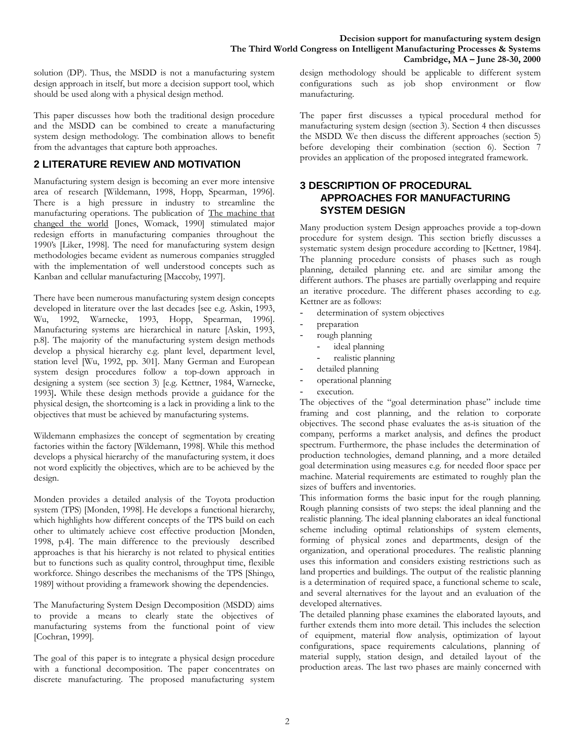solution (DP). Thus, the MSDD is not a manufacturing system design approach in itself, but more a decision support tool, which should be used along with a physical design method.

This paper discusses how both the traditional design procedure and the MSDD can be combined to create a manufacturing system design methodology. The combination allows to benefit from the advantages that capture both approaches.

# **2 LITERATURE REVIEW AND MOTIVATION**

Manufacturing system design is becoming an ever more intensive area of research [Wildemann, 1998, Hopp, Spearman, 1996]. There is a high pressure in industry to streamline the manufacturing operations. The publication of The machine that changed the world [Jones, Womack, 1990] stimulated major redesign efforts in manufacturing companies throughout the 1990's [Liker, 1998]. The need for manufacturing system design methodologies became evident as numerous companies struggled with the implementation of well understood concepts such as Kanban and cellular manufacturing [Maccoby, 1997].

There have been numerous manufacturing system design concepts developed in literature over the last decades [see e.g. Askin, 1993, Wu, 1992, Warnecke, 1993, Hopp, Spearman, 1996]. Manufacturing systems are hierarchical in nature [Askin, 1993, p.8]. The majority of the manufacturing system design methods develop a physical hierarchy e.g. plant level, department level, station level [Wu, 1992, pp. 301]. Many German and European system design procedures follow a top-down approach in designing a system (see section 3) [e.g. Kettner, 1984, Warnecke, 1993]**.** While these design methods provide a guidance for the physical design, the shortcoming is a lack in providing a link to the objectives that must be achieved by manufacturing systems.

Wildemann emphasizes the concept of segmentation by creating factories within the factory [Wildemann, 1998]. While this method develops a physical hierarchy of the manufacturing system, it does not word explicitly the objectives, which are to be achieved by the design.

Monden provides a detailed analysis of the Toyota production system (TPS) [Monden, 1998]. He develops a functional hierarchy, which highlights how different concepts of the TPS build on each other to ultimately achieve cost effective production [Monden, 1998, p.4]. The main difference to the previously described approaches is that his hierarchy is not related to physical entities but to functions such as quality control, throughput time, flexible workforce. Shingo describes the mechanisms of the TPS [Shingo, 1989] without providing a framework showing the dependencies.

The Manufacturing System Design Decomposition (MSDD) aims to provide a means to clearly state the objectives of manufacturing systems from the functional point of view [Cochran, 1999].

The goal of this paper is to integrate a physical design procedure with a functional decomposition. The paper concentrates on discrete manufacturing. The proposed manufacturing system design methodology should be applicable to different system configurations such as job shop environment or flow manufacturing.

The paper first discusses a typical procedural method for manufacturing system design (section 3). Section 4 then discusses the MSDD. We then discuss the different approaches (section 5) before developing their combination (section 6). Section 7 provides an application of the proposed integrated framework.

### **3 DESCRIPTION OF PROCEDURAL APPROACHES FOR MANUFACTURING SYSTEM DESIGN**

Many production system Design approaches provide a top-down procedure for system design. This section briefly discusses a systematic system design procedure according to [Kettner, 1984]. The planning procedure consists of phases such as rough planning, detailed planning etc. and are similar among the different authors. The phases are partially overlapping and require an iterative procedure. The different phases according to e.g. Kettner are as follows:

- determination of system objectives
- preparation
- rough planning
- ideal planning
	- realistic planning
- detailed planning
- operational planning
- execution.

The objectives of the "goal determination phase" include time framing and cost planning, and the relation to corporate objectives. The second phase evaluates the as-is situation of the company, performs a market analysis, and defines the product spectrum. Furthermore, the phase includes the determination of production technologies, demand planning, and a more detailed goal determination using measures e.g. for needed floor space per machine. Material requirements are estimated to roughly plan the sizes of buffers and inventories.

This information forms the basic input for the rough planning. Rough planning consists of two steps: the ideal planning and the realistic planning. The ideal planning elaborates an ideal functional scheme including optimal relationships of system elements, forming of physical zones and departments, design of the organization, and operational procedures. The realistic planning uses this information and considers existing restrictions such as land properties and buildings. The output of the realistic planning is a determination of required space, a functional scheme to scale, and several alternatives for the layout and an evaluation of the developed alternatives.

The detailed planning phase examines the elaborated layouts, and further extends them into more detail. This includes the selection of equipment, material flow analysis, optimization of layout configurations, space requirements calculations, planning of material supply, station design, and detailed layout of the production areas. The last two phases are mainly concerned with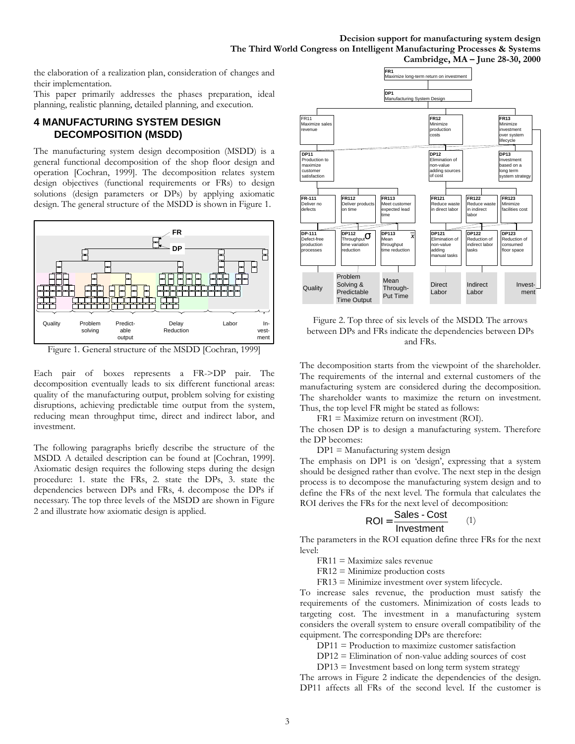the elaboration of a realization plan, consideration of changes and their implementation.

This paper primarily addresses the phases preparation, ideal planning, realistic planning, detailed planning, and execution.

### **4 MANUFACTURING SYSTEM DESIGN DECOMPOSITION (MSDD)**

The manufacturing system design decomposition (MSDD) is a general functional decomposition of the shop floor design and operation [Cochran, 1999]. The decomposition relates system design objectives (functional requirements or FRs) to design solutions (design parameters or DPs) by applying axiomatic design. The general structure of the MSDD is shown in Figure 1.



Figure 1. General structure of the MSDD [Cochran, 1999]

Each pair of boxes represents a FR->DP pair. The decomposition eventually leads to six different functional areas: quality of the manufacturing output, problem solving for existing disruptions, achieving predictable time output from the system, reducing mean throughput time, direct and indirect labor, and investment.

The following paragraphs briefly describe the structure of the MSDD. A detailed description can be found at [Cochran, 1999]. Axiomatic design requires the following steps during the design procedure: 1. state the FRs, 2. state the DPs, 3. state the dependencies between DPs and FRs, 4. decompose the DPs if necessary. The top three levels of the MSDD are shown in Figure 2 and illustrate how axiomatic design is applied.



Figure 2. Top three of six levels of the MSDD. The arrows between DPs and FRs indicate the dependencies between DPs and FRs.

The decomposition starts from the viewpoint of the shareholder. The requirements of the internal and external customers of the manufacturing system are considered during the decomposition. The shareholder wants to maximize the return on investment. Thus, the top level FR might be stated as follows:

FR1 = Maximize return on investment (ROI).

The chosen DP is to design a manufacturing system. Therefore the DP becomes:

 $DP1 =$  Manufacturing system design

The emphasis on DP1 is on 'design', expressing that a system should be designed rather than evolve. The next step in the design process is to decompose the manufacturing system design and to define the FRs of the next level. The formula that calculates the ROI derives the FRs for the next level of decomposition:

$$
ROI = \frac{Sales - Cost}{Investment} \qquad (1)
$$

The parameters in the ROI equation define three FRs for the next level:

FR11 = Maximize sales revenue

FR12 = Minimize production costs

FR13 = Minimize investment over system lifecycle.

To increase sales revenue, the production must satisfy the requirements of the customers. Minimization of costs leads to targeting cost. The investment in a manufacturing system considers the overall system to ensure overall compatibility of the equipment. The corresponding DPs are therefore:

DP11 = Production to maximize customer satisfaction

 $DP12 = Elimination of non-value adding sources of cost$ 

DP13 = Investment based on long term system strategy

The arrows in Figure 2 indicate the dependencies of the design. DP11 affects all FRs of the second level. If the customer is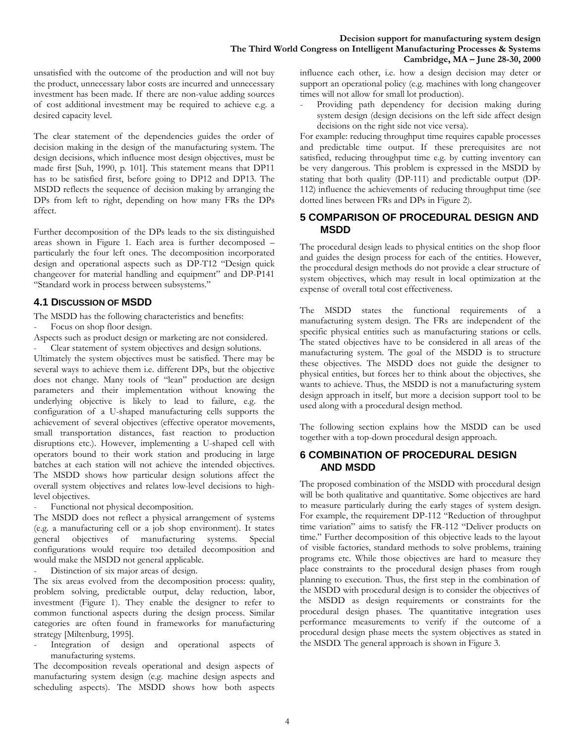unsatisfied with the outcome of the production and will not buy the product, unnecessary labor costs are incurred and unnecessary investment has been made. If there are non-value adding sources of cost additional investment may be required to achieve e.g. a desired capacity level.

The clear statement of the dependencies guides the order of decision making in the design of the manufacturing system. The design decisions, which influence most design objectives, must be made first [Suh, 1990, p. 101]. This statement means that DP11 has to be satisfied first, before going to DP12 and DP13. The MSDD reflects the sequence of decision making by arranging the DPs from left to right, depending on how many FRs the DPs affect.

Further decomposition of the DPs leads to the six distinguished areas shown in Figure 1. Each area is further decomposed – particularly the four left ones. The decomposition incorporated design and operational aspects such as DP-T12 "Design quick changeover for material handling and equipment" and DP-P141 "Standard work in process between subsystems."

#### **4.1 DISCUSSION OF MSDD**

The MSDD has the following characteristics and benefits:

- Focus on shop floor design.
- Aspects such as product design or marketing are not considered.

Clear statement of system objectives and design solutions. Ultimately the system objectives must be satisfied. There may be several ways to achieve them i.e. different DPs, but the objective does not change. Many tools of "lean" production are design parameters and their implementation without knowing the underlying objective is likely to lead to failure, e.g. the configuration of a U-shaped manufacturing cells supports the achievement of several objectives (effective operator movements, small transportation distances, fast reaction to production disruptions etc.). However, implementing a U-shaped cell with operators bound to their work station and producing in large batches at each station will not achieve the intended objectives. The MSDD shows how particular design solutions affect the overall system objectives and relates low-level decisions to highlevel objectives.

Functional not physical decomposition.

The MSDD does not reflect a physical arrangement of systems (e.g. a manufacturing cell or a job shop environment). It states general objectives of manufacturing systems. Special configurations would require too detailed decomposition and would make the MSDD not general applicable.

Distinction of six major areas of design.

The six areas evolved from the decomposition process: quality, problem solving, predictable output, delay reduction, labor, investment (Figure 1). They enable the designer to refer to common functional aspects during the design process. Similar categories are often found in frameworks for manufacturing strategy [Miltenburg, 1995].

Integration of design and operational aspects of manufacturing systems.

The decomposition reveals operational and design aspects of manufacturing system design (e.g. machine design aspects and scheduling aspects). The MSDD shows how both aspects

influence each other, i.e. how a design decision may deter or support an operational policy (e.g. machines with long changeover times will not allow for small lot production).

Providing path dependency for decision making during system design (design decisions on the left side affect design decisions on the right side not vice versa).

For example: reducing throughput time requires capable processes and predictable time output. If these prerequisites are not satisfied, reducing throughput time e.g. by cutting inventory can be very dangerous. This problem is expressed in the MSDD by stating that both quality (DP-111) and predictable output (DP-112) influence the achievements of reducing throughput time (see dotted lines between FRs and DPs in Figure 2).

#### **5 COMPARISON OF PROCEDURAL DESIGN AND MSDD**

The procedural design leads to physical entities on the shop floor and guides the design process for each of the entities. However, the procedural design methods do not provide a clear structure of system objectives, which may result in local optimization at the expense of overall total cost effectiveness.

The MSDD states the functional requirements of a manufacturing system design. The FRs are independent of the specific physical entities such as manufacturing stations or cells. The stated objectives have to be considered in all areas of the manufacturing system. The goal of the MSDD is to structure these objectives. The MSDD does not guide the designer to physical entities, but forces her to think about the objectives, she wants to achieve. Thus, the MSDD is not a manufacturing system design approach in itself, but more a decision support tool to be used along with a procedural design method.

The following section explains how the MSDD can be used together with a top-down procedural design approach.

### **6 COMBINATION OF PROCEDURAL DESIGN AND MSDD**

The proposed combination of the MSDD with procedural design will be both qualitative and quantitative. Some objectives are hard to measure particularly during the early stages of system design. For example, the requirement DP-112 "Reduction of throughput time variation" aims to satisfy the FR-112 "Deliver products on time." Further decomposition of this objective leads to the layout of visible factories, standard methods to solve problems, training programs etc. While those objectives are hard to measure they place constraints to the procedural design phases from rough planning to execution. Thus, the first step in the combination of the MSDD with procedural design is to consider the objectives of the MSDD as design requirements or constraints for the procedural design phases. The quantitative integration uses performance measurements to verify if the outcome of a procedural design phase meets the system objectives as stated in the MSDD. The general approach is shown in Figure 3.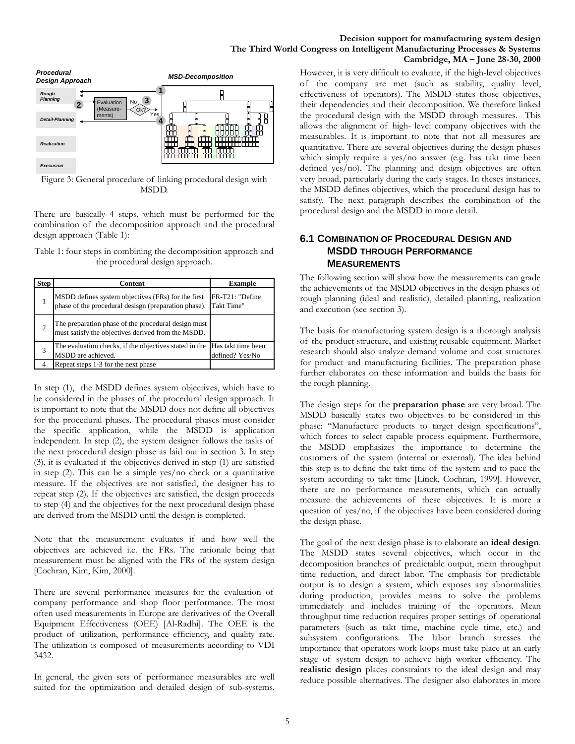



Figure 3: General procedure of linking procedural design with MSDD.

There are basically 4 steps, which must be performed for the combination of the decomposition approach and the procedural design approach (Table 1):

Table 1: four steps in combining the decomposition approach and the procedural design approach.

| <b>Step</b>    | Content                                                                                                    | <b>Example</b>                        |
|----------------|------------------------------------------------------------------------------------------------------------|---------------------------------------|
|                | MSDD defines system objectives (FRs) for the first<br>phase of the procedural desisgn (preparation phase). | FR-T21: "Define<br>Takt Time"         |
| $\overline{c}$ | The preparation phase of the procedural design must<br>must satisfy the objectives derived from the MSDD.  |                                       |
| 3              | The evaluation checks, if the objectives stated in the<br>MSDD are achieved.                               | Has takt time been<br>defined? Yes/No |
|                | Repeat steps 1-3 for the next phase                                                                        |                                       |

In step (1), the MSDD defines system objectives, which have to be considered in the phases of the procedural design approach. It is important to note that the MSDD does not define all objectives for the procedural phases. The procedural phases must consider the specific application, while the MSDD is application independent. In step (2), the system designer follows the tasks of the next procedural design phase as laid out in section 3. In step (3), it is evaluated if the objectives derived in step (1) are satisfied in step (2). This can be a simple yes/no check or a quantitative measure. If the objectives are not satisfied, the designer has to repeat step (2). If the objectives are satisfied, the design proceeds to step (4) and the objectives for the next procedural design phase are derived from the MSDD until the design is completed.

Note that the measurement evaluates if and how well the objectives are achieved i.e. the FRs. The rationale being that measurement must be aligned with the FRs of the system design [Cochran, Kim, Kim, 2000].

There are several performance measures for the evaluation of company performance and shop floor performance. The most often used measurements in Europe are derivatives of the Overall Equipment Effectiveness (OEE) [Al-Radhi]. The OEE is the product of utilization, performance efficiency, and quality rate. The utilization is composed of measurements according to VDI 3432.

In general, the given sets of performance measurables are well suited for the optimization and detailed design of sub-systems. However, it is very difficult to evaluate, if the high-level objectives of the company are met (such as stability, quality level, effectiveness of operators). The MSDD states those objectives, their dependencies and their decomposition. We therefore linked the procedural design with the MSDD through measures. This allows the alignment of high- level company objectives with the measurables. It is important to note that not all measures are quantitative. There are several objectives during the design phases which simply require a yes/no answer (e.g. has takt time been defined yes/no). The planning and design objectives are often very broad, particularly during the early stages. In theses instances, the MSDD defines objectives, which the procedural design has to satisfy. The next paragraph describes the combination of the procedural design and the MSDD in more detail.

#### **6.1 COMBINATION OF PROCEDURAL DESIGN AND MSDD THROUGH PERFORMANCE MEASUREMENTS**

The following section will show how the measurements can grade the achievements of the MSDD objectives in the design phases of rough planning (ideal and realistic), detailed planning, realization and execution (see section 3).

The basis for manufacturing system design is a thorough analysis of the product structure, and existing reusable equipment. Market research should also analyze demand volume and cost structures for product and manufacturing facilities. The preparation phase further elaborates on these information and builds the basis for the rough planning.

The design steps for the **preparation phase** are very broad. The MSDD basically states two objectives to be considered in this phase: "Manufacture products to target design specifications", which forces to select capable process equipment. Furthermore, the MSDD emphasizes the importance to determine the customers of the system (internal or external). The idea behind this step is to define the takt time of the system and to pace the system according to takt time [Linck, Cochran, 1999]. However, there are no performance measurements, which can actually measure the achievements of these objectives. It is more a question of yes/no, if the objectives have been considered during the design phase.

The goal of the next design phase is to elaborate an **ideal design**. The MSDD states several objectives, which occur in the decomposition branches of predictable output, mean throughput time reduction, and direct labor. The emphasis for predictable output is to design a system, which exposes any abnormalities during production, provides means to solve the problems immediately and includes training of the operators. Mean throughput time reduction requires proper settings of operational parameters (such as takt time, machine cycle time, etc.) and subsystem configurations. The labor branch stresses the importance that operators work loops must take place at an early stage of system design to achieve high worker efficiency. The **realistic design** places constraints to the ideal design and may reduce possible alternatives. The designer also elaborates in more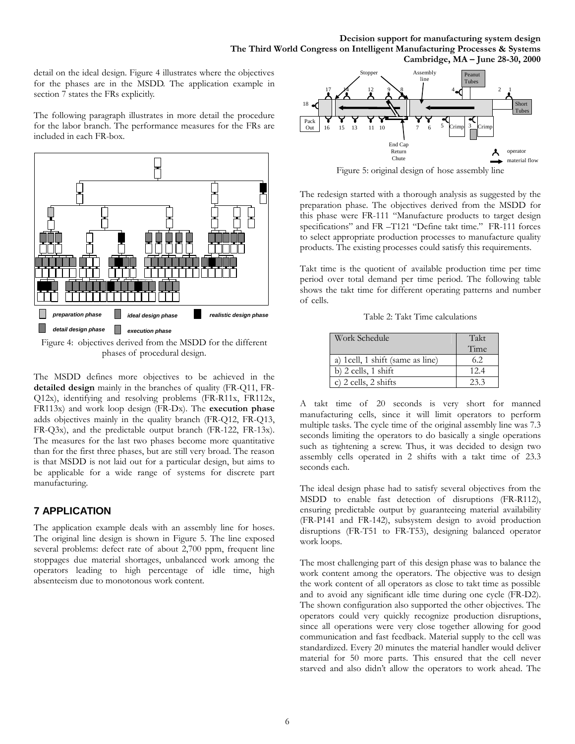detail on the ideal design. Figure 4 illustrates where the objectives for the phases are in the MSDD. The application example in section 7 states the FRs explicitly.

The following paragraph illustrates in more detail the procedure for the labor branch. The performance measures for the FRs are included in each FR-box.



Figure 4: objectives derived from the MSDD for the different phases of procedural design.

The MSDD defines more objectives to be achieved in the **detailed design** mainly in the branches of quality (FR-Q11, FR-Q12x), identifying and resolving problems (FR-R11x, FR112x, FR113x) and work loop design (FR-Dx). The **execution phase** adds objectives mainly in the quality branch (FR-Q12, FR-Q13, FR-Q3x), and the predictable output branch (FR-122, FR-13x). The measures for the last two phases become more quantitative than for the first three phases, but are still very broad. The reason is that MSDD is not laid out for a particular design, but aims to be applicable for a wide range of systems for discrete part manufacturing.

## **7 APPLICATION**

The application example deals with an assembly line for hoses. The original line design is shown in Figure 5. The line exposed several problems: defect rate of about 2,700 ppm, frequent line stoppages due material shortages, unbalanced work among the operators leading to high percentage of idle time, high absenteeism due to monotonous work content.



Figure 5: original design of hose assembly line

The redesign started with a thorough analysis as suggested by the preparation phase. The objectives derived from the MSDD for this phase were FR-111 "Manufacture products to target design specifications" and FR-T121 "Define takt time." FR-111 forces to select appropriate production processes to manufacture quality products. The existing processes could satisfy this requirements.

Takt time is the quotient of available production time per time period over total demand per time period. The following table shows the takt time for different operating patterns and number of cells.

Table 2: Takt Time calculations

| Work Schedule                     | Takt |
|-----------------------------------|------|
|                                   | Time |
| a) 1 cell, 1 shift (same as line) | 6.2  |
| b) $2$ cells, $1$ shift           | 12.4 |
| c) 2 cells, 2 shifts              | 23.3 |

A takt time of 20 seconds is very short for manned manufacturing cells, since it will limit operators to perform multiple tasks. The cycle time of the original assembly line was 7.3 seconds limiting the operators to do basically a single operations such as tightening a screw. Thus, it was decided to design two assembly cells operated in 2 shifts with a takt time of 23.3 seconds each.

The ideal design phase had to satisfy several objectives from the MSDD to enable fast detection of disruptions (FR-R112), ensuring predictable output by guaranteeing material availability (FR-P141 and FR-142), subsystem design to avoid production disruptions (FR-T51 to FR-T53), designing balanced operator work loops.

The most challenging part of this design phase was to balance the work content among the operators. The objective was to design the work content of all operators as close to takt time as possible and to avoid any significant idle time during one cycle (FR-D2). The shown configuration also supported the other objectives. The operators could very quickly recognize production disruptions, since all operations were very close together allowing for good communication and fast feedback. Material supply to the cell was standardized. Every 20 minutes the material handler would deliver material for 50 more parts. This ensured that the cell never starved and also didn't allow the operators to work ahead. The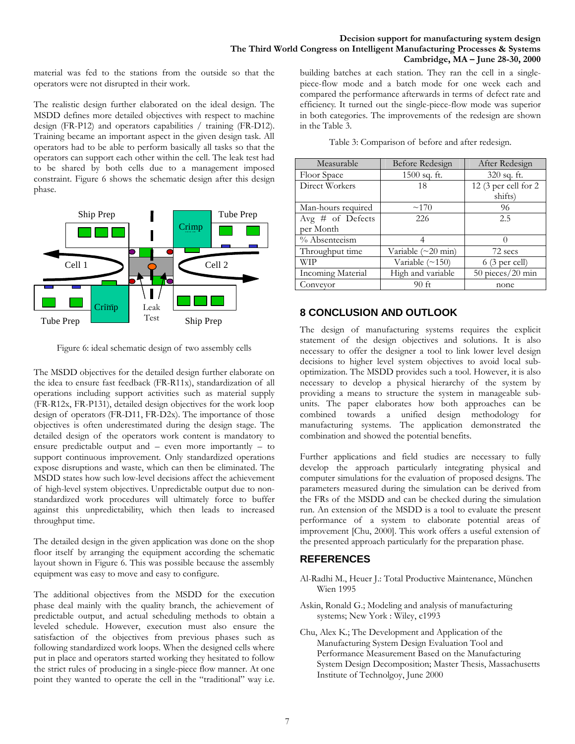material was fed to the stations from the outside so that the operators were not disrupted in their work.

The realistic design further elaborated on the ideal design. The MSDD defines more detailed objectives with respect to machine design (FR-P12) and operators capabilities / training (FR-D12). Training became an important aspect in the given design task. All operators had to be able to perform basically all tasks so that the operators can support each other within the cell. The leak test had to be shared by both cells due to a management imposed constraint. Figure 6 shows the schematic design after this design phase.



Figure 6: ideal schematic design of two assembly cells

The MSDD objectives for the detailed design further elaborate on the idea to ensure fast feedback (FR-R11x), standardization of all operations including support activities such as material supply (FR-R12x, FR-P131), detailed design objectives for the work loop design of operators (FR-D11, FR-D2x). The importance of those objectives is often underestimated during the design stage. The detailed design of the operators work content is mandatory to ensure predictable output and – even more importantly – to support continuous improvement. Only standardized operations expose disruptions and waste, which can then be eliminated. The MSDD states how such low-level decisions affect the achievement of high-level system objectives. Unpredictable output due to nonstandardized work procedures will ultimately force to buffer against this unpredictability, which then leads to increased throughput time.

The detailed design in the given application was done on the shop floor itself by arranging the equipment according the schematic layout shown in Figure 6. This was possible because the assembly equipment was easy to move and easy to configure.

The additional objectives from the MSDD for the execution phase deal mainly with the quality branch, the achievement of predictable output, and actual scheduling methods to obtain a leveled schedule. However, execution must also ensure the satisfaction of the objectives from previous phases such as following standardized work loops. When the designed cells where put in place and operators started working they hesitated to follow the strict rules of producing in a single-piece flow manner. At one point they wanted to operate the cell in the "traditional" way i.e.

building batches at each station. They ran the cell in a singlepiece-flow mode and a batch mode for one week each and compared the performance afterwards in terms of defect rate and efficiency. It turned out the single-piece-flow mode was superior in both categories. The improvements of the redesign are shown in the Table 3.

| Measurable         | Before Redesign       | After Redesign          |
|--------------------|-----------------------|-------------------------|
| Floor Space        | 1500 sq. ft.          | 320 sq. ft.             |
| Direct Workers     | 18                    | 12 (3 per cell for 2    |
|                    |                       | shifts)                 |
| Man-hours required | ~170                  | 96                      |
| Avg # of Defects   | 226                   | 2.5                     |
| per Month          |                       |                         |
| % Absenteeism      |                       | $\Omega$                |
| Throughput time    | Variable (~20 min)    | 72 secs                 |
| WIP                | Variable $(\sim 150)$ | $6(3 \text{ per cell})$ |
| Incoming Material  | High and variable     | 50 pieces/20 min        |
| Conveyor           | 90 ft                 | none                    |

# **8 CONCLUSION AND OUTLOOK**

The design of manufacturing systems requires the explicit statement of the design objectives and solutions. It is also necessary to offer the designer a tool to link lower level design decisions to higher level system objectives to avoid local suboptimization. The MSDD provides such a tool. However, it is also necessary to develop a physical hierarchy of the system by providing a means to structure the system in manageable subunits. The paper elaborates how both approaches can be combined towards a unified design methodology for manufacturing systems. The application demonstrated the combination and showed the potential benefits.

Further applications and field studies are necessary to fully develop the approach particularly integrating physical and computer simulations for the evaluation of proposed designs. The parameters measured during the simulation can be derived from the FRs of the MSDD and can be checked during the simulation run. An extension of the MSDD is a tool to evaluate the present performance of a system to elaborate potential areas of improvement [Chu, 2000]. This work offers a useful extension of the presented approach particularly for the preparation phase.

# **REFERENCES**

- Al-Radhi M., Heuer J.: Total Productive Maintenance, München Wien 1995
- Askin, Ronald G.; Modeling and analysis of manufacturing systems; New York : Wiley, c1993
- Chu, Alex K.; The Development and Application of the Manufacturing System Design Evaluation Tool and Performance Measurement Based on the Manufacturing System Design Decomposition; Master Thesis, Massachusetts Institute of Technolgoy, June 2000